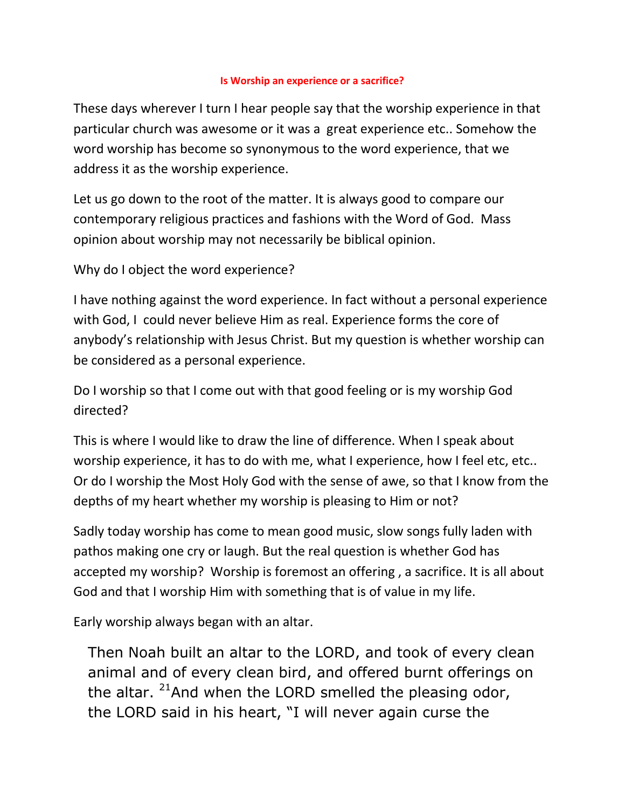## **Is Worship an experience or a sacrifice?**

These days wherever I turn I hear people say that the worship experience in that particular church was awesome or it was a great experience etc.. Somehow the word worship has become so synonymous to the word experience, that we address it as the worship experience.

Let us go down to the root of the matter. It is always good to compare our contemporary religious practices and fashions with the Word of God. Mass opinion about worship may not necessarily be biblical opinion.

Why do I object the word experience?

I have nothing against the word experience. In fact without a personal experience with God, I could never believe Him as real. Experience forms the core of anybody's relationship with Jesus Christ. But my question is whether worship can be considered as a personal experience.

Do I worship so that I come out with that good feeling or is my worship God directed?

This is where I would like to draw the line of difference. When I speak about worship experience, it has to do with me, what I experience, how I feel etc, etc.. Or do I worship the Most Holy God with the sense of awe, so that I know from the depths of my heart whether my worship is pleasing to Him or not?

Sadly today worship has come to mean good music, slow songs fully laden with pathos making one cry or laugh. But the real question is whether God has accepted my worship? Worship is foremost an offering , a sacrifice. It is all about God and that I worship Him with something that is of value in my life.

Early worship always began with an altar.

Then Noah built an altar to the LORD, and took of every clean animal and of every clean bird, and offered burnt offerings on the altar.  $21$ And when the LORD smelled the pleasing odor, the LORD said in his heart, "I will never again curse the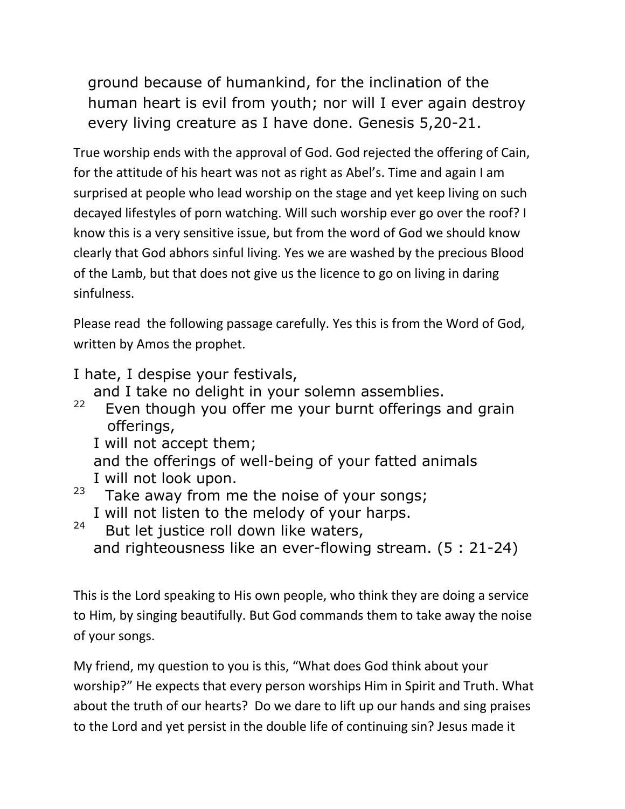ground because of humankind, for the inclination of the human heart is evil from youth; nor will I ever again destroy every living creature as I have done. Genesis 5,20-21.

True worship ends with the approval of God. God rejected the offering of Cain, for the attitude of his heart was not as right as Abel's. Time and again I am surprised at people who lead worship on the stage and yet keep living on such decayed lifestyles of porn watching. Will such worship ever go over the roof? I know this is a very sensitive issue, but from the word of God we should know clearly that God abhors sinful living. Yes we are washed by the precious Blood of the Lamb, but that does not give us the licence to go on living in daring sinfulness.

Please read the following passage carefully. Yes this is from the Word of God, written by Amos the prophet.

I hate, I despise your festivals,

and I take no delight in your solemn assemblies.

22 Even though you offer me your burnt offerings and grain offerings,

I will not accept them;

 and the offerings of well-being of your fatted animals I will not look upon.

- 23 Take away from me the noise of your songs; I will not listen to the melody of your harps.
- 24 But let justice roll down like waters, and righteousness like an ever-flowing stream. (5 : 21-24)

This is the Lord speaking to His own people, who think they are doing a service to Him, by singing beautifully. But God commands them to take away the noise of your songs.

My friend, my question to you is this, "What does God think about your worship?" He expects that every person worships Him in Spirit and Truth. What about the truth of our hearts? Do we dare to lift up our hands and sing praises to the Lord and yet persist in the double life of continuing sin? Jesus made it